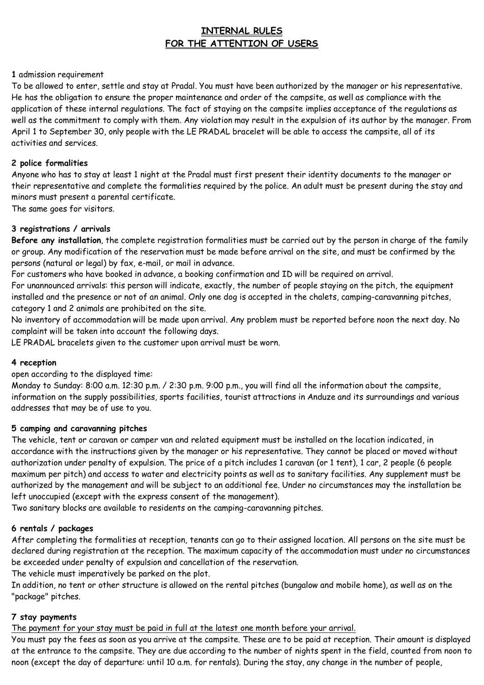# **INTERNAL RULES FOR THE ATTENTION OF USERS**

## **1** admission requirement

To be allowed to enter, settle and stay at Pradal. You must have been authorized by the manager or his representative. He has the obligation to ensure the proper maintenance and order of the campsite, as well as compliance with the application of these internal regulations. The fact of staying on the campsite implies acceptance of the regulations as well as the commitment to comply with them. Any violation may result in the expulsion of its author by the manager. From April 1 to September 30, only people with the LE PRADAL bracelet will be able to access the campsite, all of its activities and services.

## **2 police formalities**

Anyone who has to stay at least 1 night at the Pradal must first present their identity documents to the manager or their representative and complete the formalities required by the police. An adult must be present during the stay and minors must present a parental certificate.

The same goes for visitors.

## **3 registrations / arrivals**

**Before any installation**, the complete registration formalities must be carried out by the person in charge of the family or group. Any modification of the reservation must be made before arrival on the site, and must be confirmed by the persons (natural or legal) by fax, e-mail, or mail in advance.

For customers who have booked in advance, a booking confirmation and ID will be required on arrival.

For unannounced arrivals: this person will indicate, exactly, the number of people staying on the pitch, the equipment installed and the presence or not of an animal. Only one dog is accepted in the chalets, camping-caravanning pitches, category 1 and 2 animals are prohibited on the site.

No inventory of accommodation will be made upon arrival. Any problem must be reported before noon the next day. No complaint will be taken into account the following days.

LE PRADAL bracelets given to the customer upon arrival must be worn.

## **4 reception**

open according to the displayed time:

Monday to Sunday: 8:00 a.m. 12:30 p.m. / 2:30 p.m. 9:00 p.m., you will find all the information about the campsite, information on the supply possibilities, sports facilities, tourist attractions in Anduze and its surroundings and various addresses that may be of use to you.

## **5 camping and caravanning pitches**

The vehicle, tent or caravan or camper van and related equipment must be installed on the location indicated, in accordance with the instructions given by the manager or his representative. They cannot be placed or moved without authorization under penalty of expulsion. The price of a pitch includes 1 caravan (or 1 tent), 1 car, 2 people (6 people maximum per pitch) and access to water and electricity points as well as to sanitary facilities. Any supplement must be authorized by the management and will be subject to an additional fee. Under no circumstances may the installation be left unoccupied (except with the express consent of the management).

Two sanitary blocks are available to residents on the camping-caravanning pitches.

## **6 rentals / packages**

After completing the formalities at reception, tenants can go to their assigned location. All persons on the site must be declared during registration at the reception. The maximum capacity of the accommodation must under no circumstances be exceeded under penalty of expulsion and cancellation of the reservation.

The vehicle must imperatively be parked on the plot.

In addition, no tent or other structure is allowed on the rental pitches (bungalow and mobile home), as well as on the "package" pitches.

## **7 stay payments**

The payment for your stay must be paid in full at the latest one month before your arrival.

You must pay the fees as soon as you arrive at the campsite. These are to be paid at reception. Their amount is displayed at the entrance to the campsite. They are due according to the number of nights spent in the field, counted from noon to noon (except the day of departure: until 10 a.m. for rentals). During the stay, any change in the number of people,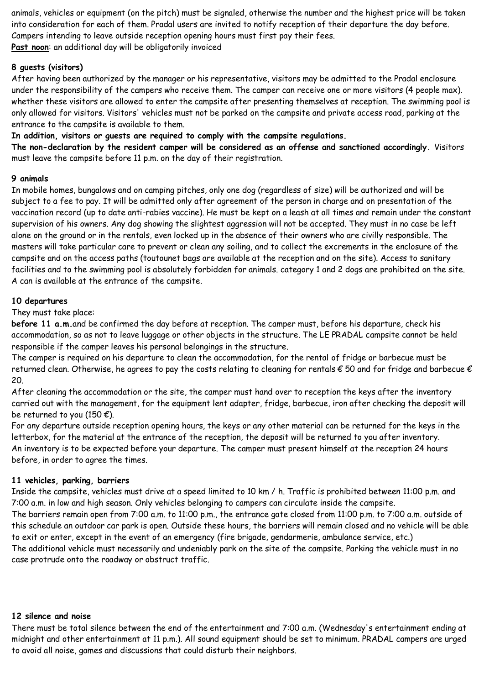animals, vehicles or equipment (on the pitch) must be signaled, otherwise the number and the highest price will be taken into consideration for each of them. Pradal users are invited to notify reception of their departure the day before. Campers intending to leave outside reception opening hours must first pay their fees. **Past noon**: an additional day will be obligatorily invoiced

## **8 guests (visitors)**

After having been authorized by the manager or his representative, visitors may be admitted to the Pradal enclosure under the responsibility of the campers who receive them. The camper can receive one or more visitors (4 people max). whether these visitors are allowed to enter the campsite after presenting themselves at reception. The swimming pool is only allowed for visitors. Visitors' vehicles must not be parked on the campsite and private access road, parking at the entrance to the campsite is available to them.

## **In addition, visitors or guests are required to comply with the campsite regulations.**

**The non-declaration by the resident camper will be considered as an offense and sanctioned accordingly.** Visitors must leave the campsite before 11 p.m. on the day of their registration.

## **9 animals**

In mobile homes, bungalows and on camping pitches, only one dog (regardless of size) will be authorized and will be subject to a fee to pay. It will be admitted only after agreement of the person in charge and on presentation of the vaccination record (up to date anti-rabies vaccine). He must be kept on a leash at all times and remain under the constant supervision of his owners. Any dog showing the slightest aggression will not be accepted. They must in no case be left alone on the ground or in the rentals, even locked up in the absence of their owners who are civilly responsible. The masters will take particular care to prevent or clean any soiling, and to collect the excrements in the enclosure of the campsite and on the access paths (toutounet bags are available at the reception and on the site). Access to sanitary facilities and to the swimming pool is absolutely forbidden for animals. category 1 and 2 dogs are prohibited on the site. A can is available at the entrance of the campsite.

#### **10 departures**

#### They must take place:

**before 11 a.m.**and be confirmed the day before at reception. The camper must, before his departure, check his accommodation, so as not to leave luggage or other objects in the structure. The LE PRADAL campsite cannot be held responsible if the camper leaves his personal belongings in the structure.

The camper is required on his departure to clean the accommodation, for the rental of fridge or barbecue must be returned clean. Otherwise, he agrees to pay the costs relating to cleaning for rentals  $\epsilon$  50 and for fridge and barbecue  $\epsilon$ 20.

After cleaning the accommodation or the site, the camper must hand over to reception the keys after the inventory carried out with the management, for the equipment lent adapter, fridge, barbecue, iron after checking the deposit will be returned to you (150 $\epsilon$ ).

For any departure outside reception opening hours, the keys or any other material can be returned for the keys in the letterbox, for the material at the entrance of the reception, the deposit will be returned to you after inventory. An inventory is to be expected before your departure. The camper must present himself at the reception 24 hours before, in order to agree the times.

#### **11 vehicles, parking, barriers**

Inside the campsite, vehicles must drive at a speed limited to 10 km / h. Traffic is prohibited between 11:00 p.m. and 7:00 a.m. in low and high season. Only vehicles belonging to campers can circulate inside the campsite. The barriers remain open from 7:00 a.m. to 11:00 p.m., the entrance gate closed from 11:00 p.m. to 7:00 a.m. outside of this schedule an outdoor car park is open. Outside these hours, the barriers will remain closed and no vehicle will be able to exit or enter, except in the event of an emergency (fire brigade, gendarmerie, ambulance service, etc.) The additional vehicle must necessarily and undeniably park on the site of the campsite. Parking the vehicle must in no case protrude onto the roadway or obstruct traffic.

#### **12 silence and noise**

There must be total silence between the end of the entertainment and 7:00 a.m. (Wednesday's entertainment ending at midnight and other entertainment at 11 p.m.). All sound equipment should be set to minimum. PRADAL campers are urged to avoid all noise, games and discussions that could disturb their neighbors.